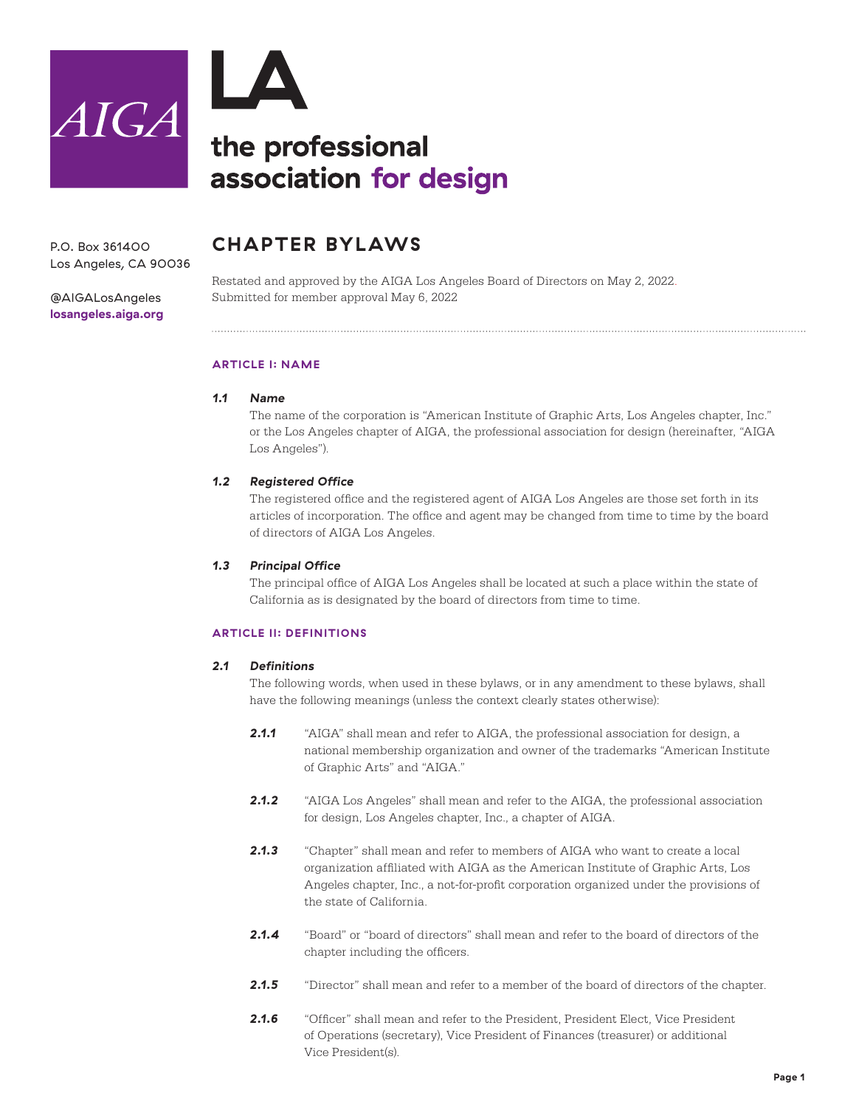



P.O. Box 361400 Los Angeles, CA 90036

[@AIGALosAngeles](https://www.instagram.com/aigalosangeles/) **[losangeles.aiga.org](http://losangeles.aiga.org/)**

### **CHAPTER BYLAWS**

Restated and approved by the AIGA Los Angeles Board of Directors on May 2, 2022. Submitted for member approval May 6, 2022

#### **ARTICLE I: NAME**

#### *1.1 Name*

The name of the corporation is "American Institute of Graphic Arts, Los Angeles chapter, Inc." or the Los Angeles chapter of AIGA, the professional association for design (hereinafter, "AIGA Los Angeles").

#### *1.2 Registered Office*

The registered office and the registered agent of AIGA Los Angeles are those set forth in its articles of incorporation. The office and agent may be changed from time to time by the board of directors of AIGA Los Angeles.

#### *1.3 Principal Office*

The principal office of AIGA Los Angeles shall be located at such a place within the state of California as is designated by the board of directors from time to time.

#### **ARTICLE II: DEFINITIONS**

#### *2.1 Definitions*

The following words, when used in these bylaws, or in any amendment to these bylaws, shall have the following meanings (unless the context clearly states otherwise):

- **2.1.1** "AIGA" shall mean and refer to AIGA, the professional association for design, a national membership organization and owner of the trademarks "American Institute of Graphic Arts" and "AIGA."
- *2.1.2* "AIGA Los Angeles" shall mean and refer to the AIGA, the professional association for design, Los Angeles chapter, Inc., a chapter of AIGA.
- *2.1.3* "Chapter" shall mean and refer to members of AIGA who want to create a local organization affiliated with AIGA as the American Institute of Graphic Arts, Los Angeles chapter, Inc., a not-for-profit corporation organized under the provisions of the state of California.
- 2.1.4 <sup>"Board"</sup> or "board of directors" shall mean and refer to the board of directors of the chapter including the officers.
- 2.1.5 <sup>"Director" shall mean and refer to a member of the board of directors of the chapter.</sup>
- 2.1.6 "Officer" shall mean and refer to the President, President Elect, Vice President of Operations (secretary), Vice President of Finances (treasurer) or additional Vice President(s).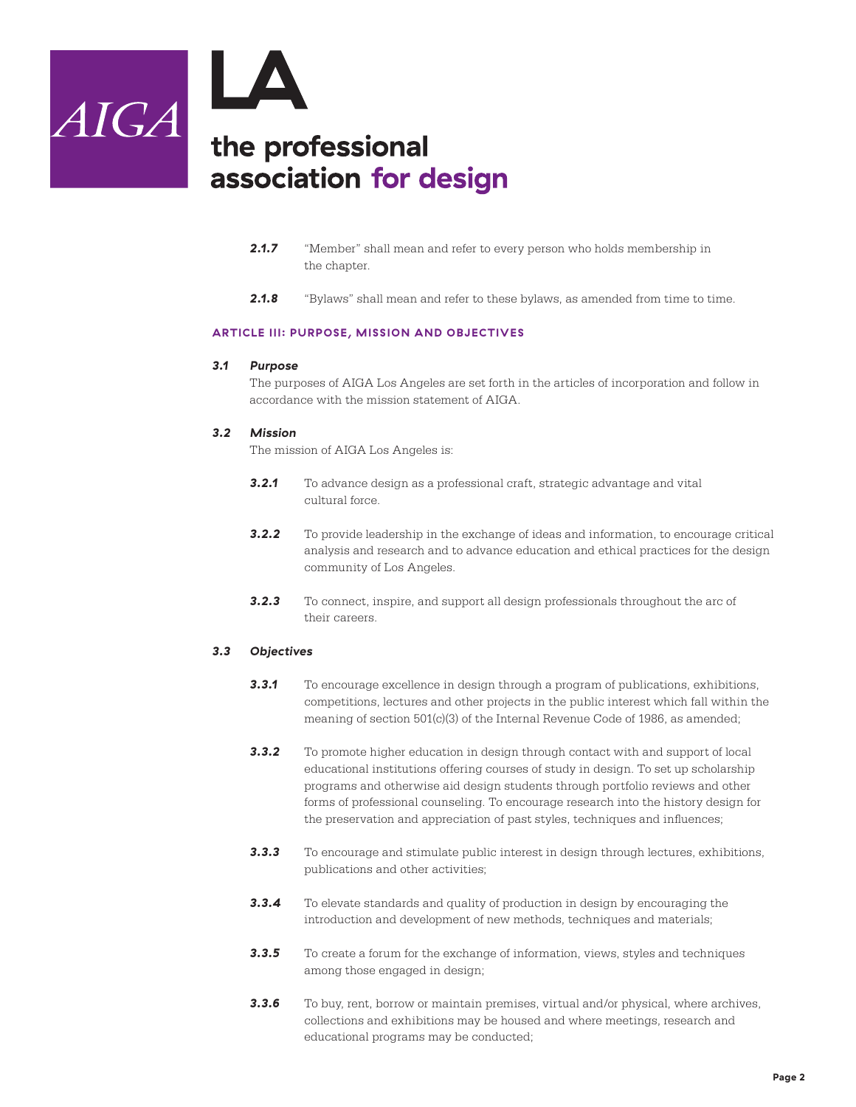

- 2.1.7 <sup>"</sup>Member" shall mean and refer to every person who holds membership in the chapter.
- **2.1.8** "Bylaws" shall mean and refer to these bylaws, as amended from time to time.

#### **ARTICLE III: PURPOSE, MISSION AND OBJECTIVES**

#### *3.1 Purpose*

The purposes of AIGA Los Angeles are set forth in the articles of incorporation and follow in accordance with the mission statement of AIGA.

#### *3.2 Mission*

The mission of AIGA Los Angeles is:

- **3.2.1** To advance design as a professional craft, strategic advantage and vital cultural force.
- **3.2.2** To provide leadership in the exchange of ideas and information, to encourage critical analysis and research and to advance education and ethical practices for the design community of Los Angeles.
- *3.2.3* To connect, inspire, and support all design professionals throughout the arc of their careers.

#### *3.3 Objectives*

- *3.3.1* To encourage excellence in design through a program of publications, exhibitions, competitions, lectures and other projects in the public interest which fall within the meaning of section  $501(c)(3)$  of the Internal Revenue Code of 1986, as amended;
- **3.3.2** To promote higher education in design through contact with and support of local educational institutions offering courses of study in design. To set up scholarship programs and otherwise aid design students through portfolio reviews and other forms of professional counseling. To encourage research into the history design for the preservation and appreciation of past styles, techniques and influences;
- *3.3.3* To encourage and stimulate public interest in design through lectures, exhibitions, publications and other activities;
- **3.3.4** To elevate standards and quality of production in design by encouraging the introduction and development of new methods, techniques and materials;
- **3.3.5** To create a forum for the exchange of information, views, styles and techniques among those engaged in design;
- **3.3.6** To buy, rent, borrow or maintain premises, virtual and/or physical, where archives, collections and exhibitions may be housed and where meetings, research and educational programs may be conducted;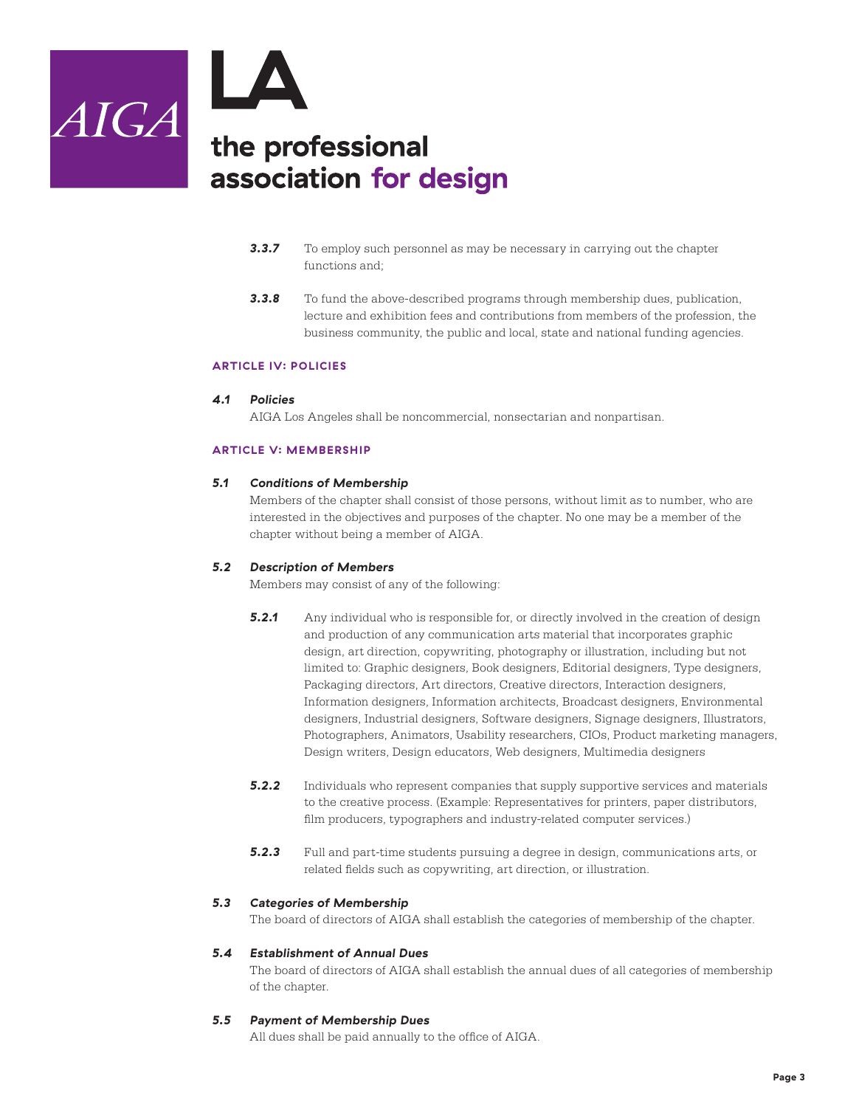

- **3.3.7** To employ such personnel as may be necessary in carrying out the chapter functions and;
- *3.3.8* To fund the above-described programs through membership dues, publication, lecture and exhibition fees and contributions from members of the profession, the business community, the public and local, state and national funding agencies.

#### **ARTICLE IV: POLICIES**

#### *4.1 Policies*

AIGA Los Angeles shall be noncommercial, nonsectarian and nonpartisan.

#### **ARTICLE V: MEMBERSHIP**

#### *5.1 Conditions of Membership*

Members of the chapter shall consist of those persons, without limit as to number, who are interested in the objectives and purposes of the chapter. No one may be a member of the chapter without being a member of AIGA.

#### *5.2 Description of Members*

Members may consist of any of the following:

- **5.2.1** Any individual who is responsible for, or directly involved in the creation of design and production of any communication arts material that incorporates graphic design, art direction, copywriting, photography or illustration, including but not limited to: Graphic designers, Book designers, Editorial designers, Type designers, Packaging directors, Art directors, Creative directors, Interaction designers, Information designers, Information architects, Broadcast designers, Environmental designers, Industrial designers, Software designers, Signage designers, Illustrators, Photographers, Animators, Usability researchers, CIOs, Product marketing managers, Design writers, Design educators, Web designers, Multimedia designers
- **5.2.2** Individuals who represent companies that supply supportive services and materials to the creative process. (Example: Representatives for printers, paper distributors, film producers, typographers and industry-related computer services.)
- **5.2.3** Full and part-time students pursuing a degree in design, communications arts, or related fields such as copywriting, art direction, or illustration.

#### *5.3 Categories of Membership*

The board of directors of AIGA shall establish the categories of membership of the chapter.

#### *5.4 Establishment of Annual Dues*

The board of directors of AIGA shall establish the annual dues of all categories of membership of the chapter.

#### *5.5 Payment of Membership Dues*

All dues shall be paid annually to the office of AIGA.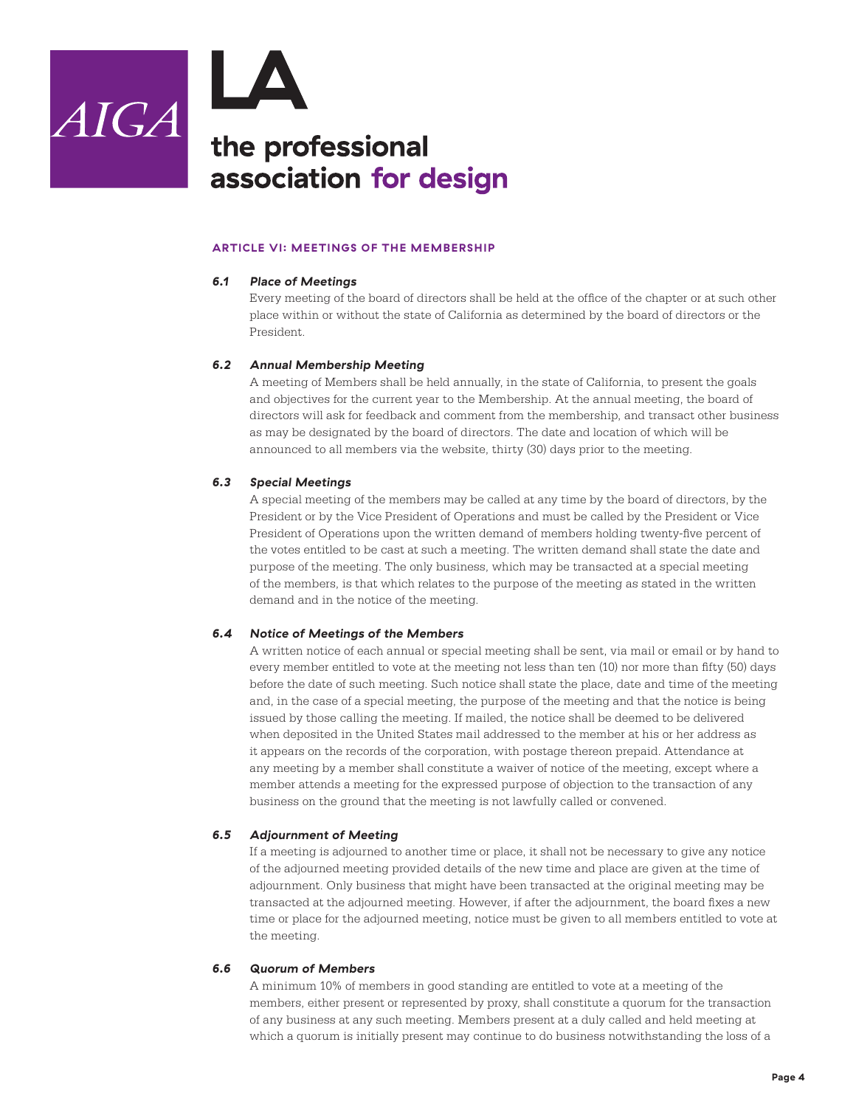

#### **ARTICLE VI: MEETINGS OF THE MEMBERSHIP**

#### *6.1 Place of Meetings*

Every meeting of the board of directors shall be held at the office of the chapter or at such other place within or without the state of California as determined by the board of directors or the President.

#### *6.2 Annual Membership Meeting*

A meeting of Members shall be held annually, in the state of California, to present the goals and objectives for the current year to the Membership. At the annual meeting, the board of directors will ask for feedback and comment from the membership, and transact other business as may be designated by the board of directors. The date and location of which will be announced to all members via the website, thirty (30) days prior to the meeting.

#### *6.3 Special Meetings*

A special meeting of the members may be called at any time by the board of directors, by the President or by the Vice President of Operations and must be called by the President or Vice President of Operations upon the written demand of members holding twenty-five percent of the votes entitled to be cast at such a meeting. The written demand shall state the date and purpose of the meeting. The only business, which may be transacted at a special meeting of the members, is that which relates to the purpose of the meeting as stated in the written demand and in the notice of the meeting.

#### *6.4 Notice of Meetings of the Members*

A written notice of each annual or special meeting shall be sent, via mail or email or by hand to every member entitled to vote at the meeting not less than ten (10) nor more than fifty (50) days before the date of such meeting. Such notice shall state the place, date and time of the meeting and, in the case of a special meeting, the purpose of the meeting and that the notice is being issued by those calling the meeting. If mailed, the notice shall be deemed to be delivered when deposited in the United States mail addressed to the member at his or her address as it appears on the records of the corporation, with postage thereon prepaid. Attendance at any meeting by a member shall constitute a waiver of notice of the meeting, except where a member attends a meeting for the expressed purpose of objection to the transaction of any business on the ground that the meeting is not lawfully called or convened.

#### *6.5 Adjournment of Meeting*

If a meeting is adjourned to another time or place, it shall not be necessary to give any notice of the adjourned meeting provided details of the new time and place are given at the time of adjournment. Only business that might have been transacted at the original meeting may be transacted at the adjourned meeting. However, if after the adjournment, the board fixes a new time or place for the adjourned meeting, notice must be given to all members entitled to vote at the meeting.

#### *6.6 Quorum of Members*

A minimum 10% of members in good standing are entitled to vote at a meeting of the members, either present or represented by proxy, shall constitute a quorum for the transaction of any business at any such meeting. Members present at a duly called and held meeting at which a quorum is initially present may continue to do business notwithstanding the loss of a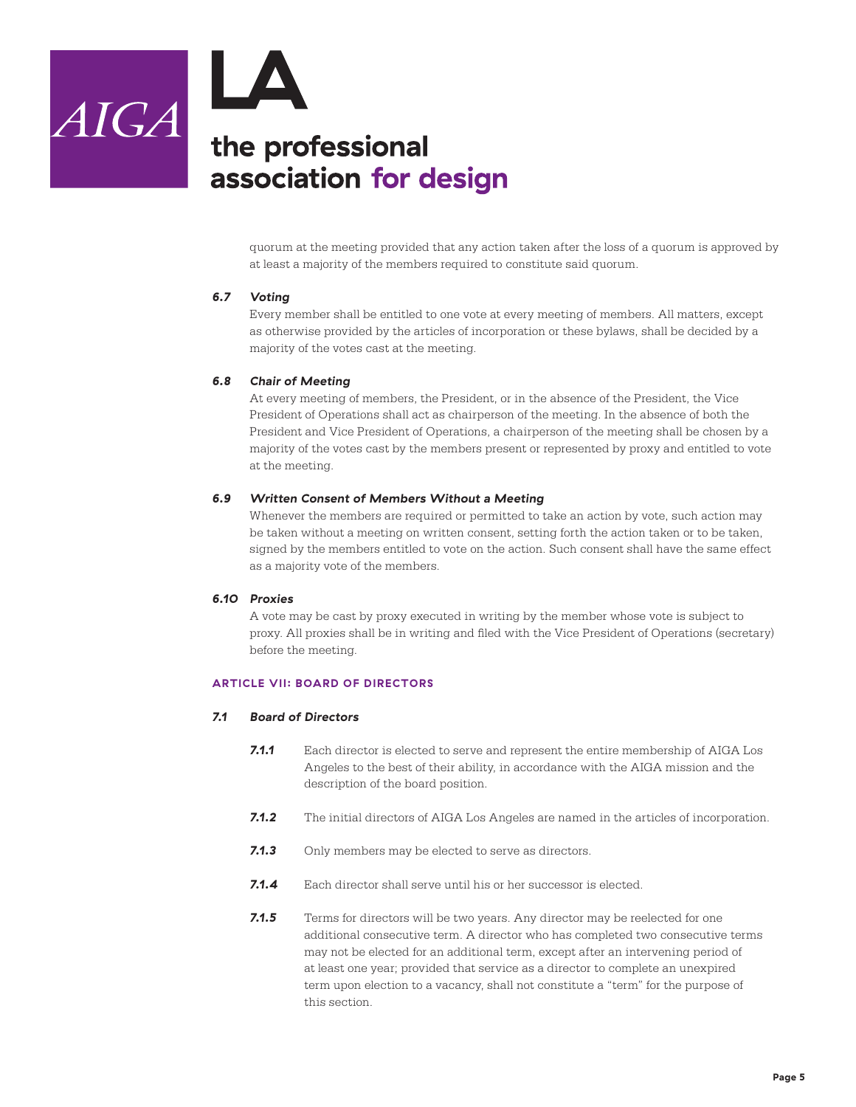

quorum at the meeting provided that any action taken after the loss of a quorum is approved by at least a majority of the members required to constitute said quorum.

#### *6.7 Voting*

Every member shall be entitled to one vote at every meeting of members. All matters, except as otherwise provided by the articles of incorporation or these bylaws, shall be decided by a majority of the votes cast at the meeting.

#### *6.8 Chair of Meeting*

At every meeting of members, the President, or in the absence of the President, the Vice President of Operations shall act as chairperson of the meeting. In the absence of both the President and Vice President of Operations, a chairperson of the meeting shall be chosen by a majority of the votes cast by the members present or represented by proxy and entitled to vote at the meeting.

#### *6.9 Written Consent of Members Without a Meeting*

Whenever the members are required or permitted to take an action by vote, such action may be taken without a meeting on written consent, setting forth the action taken or to be taken, signed by the members entitled to vote on the action. Such consent shall have the same effect as a majority vote of the members.

#### *6.10 Proxies*

A vote may be cast by proxy executed in writing by the member whose vote is subject to proxy. All proxies shall be in writing and filed with the Vice President of Operations (secretary) before the meeting.

#### **ARTICLE VII: BOARD OF DIRECTORS**

#### *7.1 Board of Directors*

- *7.1.1* Each director is elected to serve and represent the entire membership of AIGA Los Angeles to the best of their ability, in accordance with the AIGA mission and the description of the board position.
- *7.1.2* The initial directors of AIGA Los Angeles are named in the articles of incorporation.
- **7.1.3** Only members may be elected to serve as directors.
- *7.1.4* Each director shall serve until his or her successor is elected.
- **7.1.5** Terms for directors will be two years. Any director may be reelected for one additional consecutive term. A director who has completed two consecutive terms may not be elected for an additional term, except after an intervening period of at least one year; provided that service as a director to complete an unexpired term upon election to a vacancy, shall not constitute a "term" for the purpose of this section.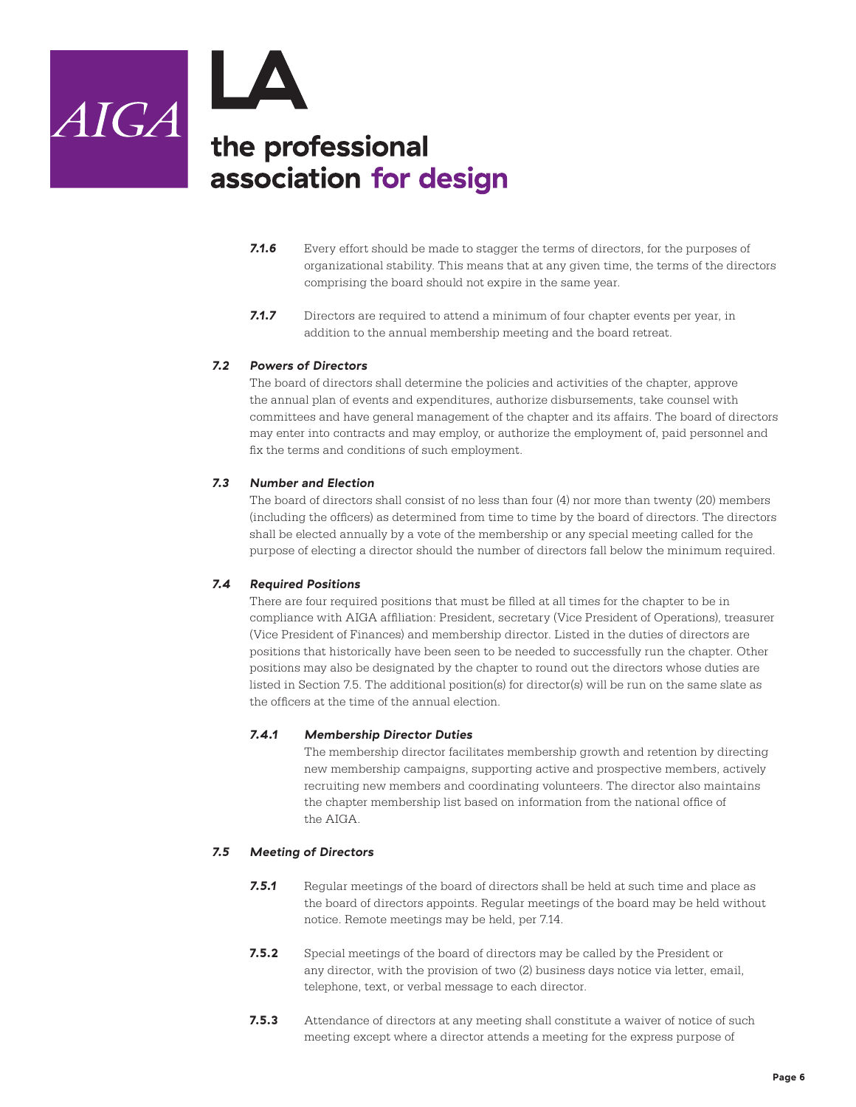

- **7.1.6** Every effort should be made to stagger the terms of directors, for the purposes of organizational stability. This means that at any given time, the terms of the directors comprising the board should not expire in the same year.
- *7.1.7* Directors are required to attend a minimum of four chapter events per year, in addition to the annual membership meeting and the board retreat.

#### *7.2 Powers of Directors*

The board of directors shall determine the policies and activities of the chapter, approve the annual plan of events and expenditures, authorize disbursements, take counsel with committees and have general management of the chapter and its affairs. The board of directors may enter into contracts and may employ, or authorize the employment of, paid personnel and fix the terms and conditions of such employment.

#### *7.3 Number and Election*

The board of directors shall consist of no less than four (4) nor more than twenty (20) members (including the officers) as determined from time to time by the board of directors. The directors shall be elected annually by a vote of the membership or any special meeting called for the purpose of electing a director should the number of directors fall below the minimum required.

#### *7.4 Required Positions*

There are four required positions that must be filled at all times for the chapter to be in compliance with AIGA affiliation: President, secretary (Vice President of Operations), treasurer (Vice President of Finances) and membership director. Listed in the duties of directors are positions that historically have been seen to be needed to successfully run the chapter. Other positions may also be designated by the chapter to round out the directors whose duties are listed in Section 7.5. The additional position(s) for director(s) will be run on the same slate as the officers at the time of the annual election.

#### *7.4.1 Membership Director Duties*

The membership director facilitates membership growth and retention by directing new membership campaigns, supporting active and prospective members, actively recruiting new members and coordinating volunteers. The director also maintains the chapter membership list based on information from the national office of the AIGA.

#### *7.5 Meeting of Directors*

- **7.5.1** Regular meetings of the board of directors shall be held at such time and place as the board of directors appoints. Regular meetings of the board may be held without notice. Remote meetings may be held, per 7.14.
- **7.5.2** Special meetings of the board of directors may be called by the President or any director, with the provision of two (2) business days notice via letter, email, telephone, text, or verbal message to each director.
- **7.5.3** Attendance of directors at any meeting shall constitute a waiver of notice of such meeting except where a director attends a meeting for the express purpose of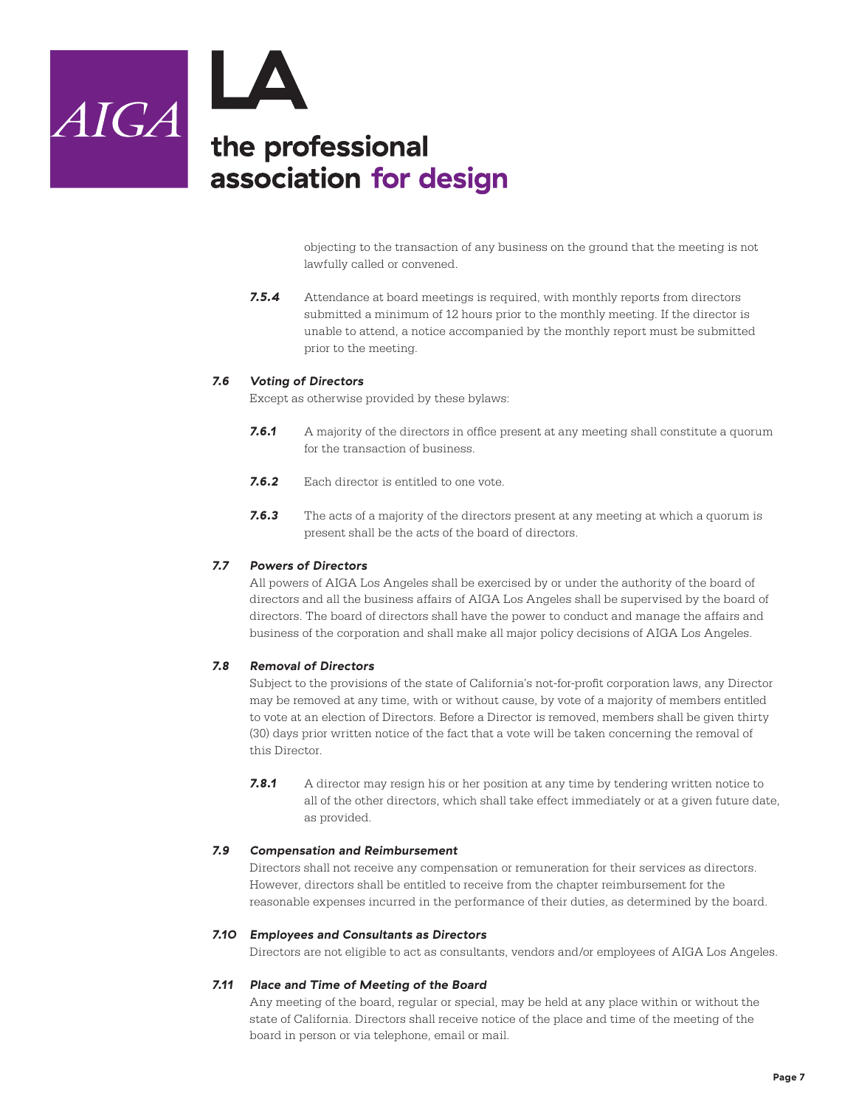

objecting to the transaction of any business on the ground that the meeting is not lawfully called or convened.

*7.5.4* Attendance at board meetings is required, with monthly reports from directors submitted a minimum of 12 hours prior to the monthly meeting. If the director is unable to attend, a notice accompanied by the monthly report must be submitted prior to the meeting.

#### *7.6 Voting of Directors*

Except as otherwise provided by these bylaws:

- **7.6.1** A majority of the directors in office present at any meeting shall constitute a quorum for the transaction of business.
- *7.6.2* Each director is entitled to one vote.
- *7.6.3* The acts of a majority of the directors present at any meeting at which a quorum is present shall be the acts of the board of directors.

#### *7.7 Powers of Directors*

All powers of AIGA Los Angeles shall be exercised by or under the authority of the board of directors and all the business affairs of AIGA Los Angeles shall be supervised by the board of directors. The board of directors shall have the power to conduct and manage the affairs and business of the corporation and shall make all major policy decisions of AIGA Los Angeles.

#### *7.8 Removal of Directors*

Subject to the provisions of the state of California's not-for-profit corporation laws, any Director may be removed at any time, with or without cause, by vote of a majority of members entitled to vote at an election of Directors. Before a Director is removed, members shall be given thirty (30) days prior written notice of the fact that a vote will be taken concerning the removal of this Director.

**7.8.1** A director may resign his or her position at any time by tendering written notice to all of the other directors, which shall take effect immediately or at a given future date, as provided.

#### *7.9 Compensation and Reimbursement*

Directors shall not receive any compensation or remuneration for their services as directors. However, directors shall be entitled to receive from the chapter reimbursement for the reasonable expenses incurred in the performance of their duties, as determined by the board.

#### *7.10 Employees and Consultants as Directors*

Directors are not eligible to act as consultants, vendors and/or employees of AIGA Los Angeles.

#### *7.11 Place and Time of Meeting of the Board*

Any meeting of the board, regular or special, may be held at any place within or without the state of California. Directors shall receive notice of the place and time of the meeting of the board in person or via telephone, email or mail.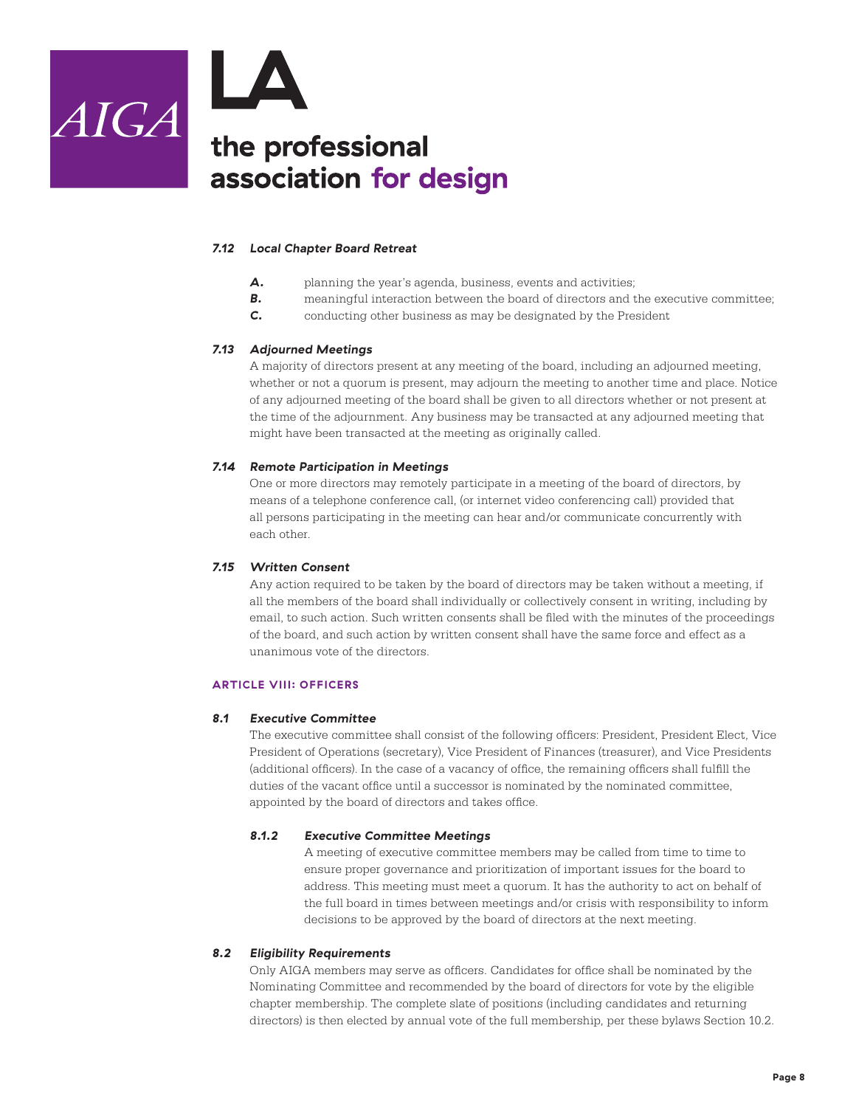

#### *7.12 Local Chapter Board Retreat*

- *A.* planning the year's agenda, business, events and activities;
- **B.** meaningful interaction between the board of directors and the executive committee;
- *C.* conducting other business as may be designated by the President

#### *7.13 Adjourned Meetings*

A majority of directors present at any meeting of the board, including an adjourned meeting, whether or not a quorum is present, may adjourn the meeting to another time and place. Notice of any adjourned meeting of the board shall be given to all directors whether or not present at the time of the adjournment. Any business may be transacted at any adjourned meeting that might have been transacted at the meeting as originally called.

#### *7.14 Remote Participation in Meetings*

One or more directors may remotely participate in a meeting of the board of directors, by means of a telephone conference call, (or internet video conferencing call) provided that all persons participating in the meeting can hear and/or communicate concurrently with each other.

#### *7.15 Written Consent*

Any action required to be taken by the board of directors may be taken without a meeting, if all the members of the board shall individually or collectively consent in writing, including by email, to such action. Such written consents shall be filed with the minutes of the proceedings of the board, and such action by written consent shall have the same force and effect as a unanimous vote of the directors.

#### **ARTICLE VIII: OFFICERS**

#### *8.1 Executive Committee*

The executive committee shall consist of the following officers: President, President Elect, Vice President of Operations (secretary), Vice President of Finances (treasurer), and Vice Presidents (additional officers). In the case of a vacancy of office, the remaining officers shall fulfill the duties of the vacant office until a successor is nominated by the nominated committee, appointed by the board of directors and takes office.

#### *8.1.2 Executive Committee Meetings*

A meeting of executive committee members may be called from time to time to ensure proper governance and prioritization of important issues for the board to address. This meeting must meet a quorum. It has the authority to act on behalf of the full board in times between meetings and/or crisis with responsibility to inform decisions to be approved by the board of directors at the next meeting.

#### *8.2 Eligibility Requirements*

Only AIGA members may serve as officers. Candidates for office shall be nominated by the Nominating Committee and recommended by the board of directors for vote by the eligible chapter membership. The complete slate of positions (including candidates and returning directors) is then elected by annual vote of the full membership, per these bylaws Section 10.2.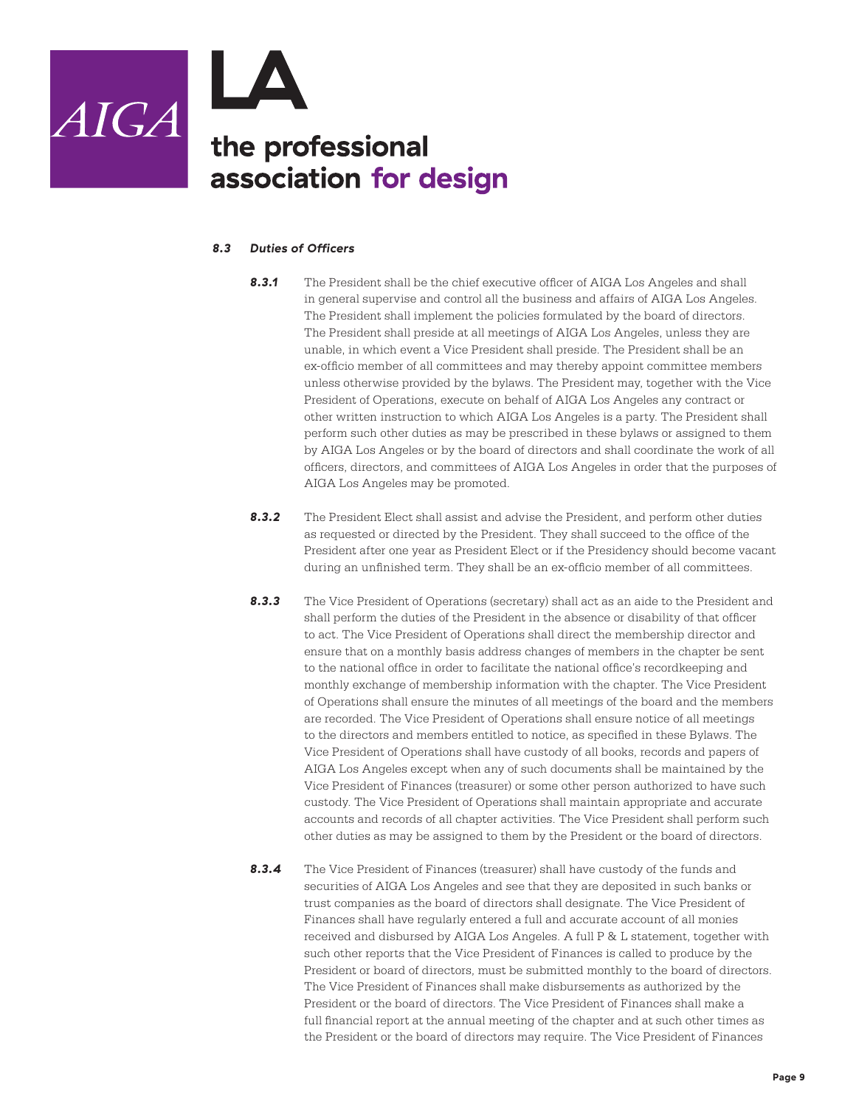

#### *8.3 Duties of Officers*

- **8.3.1** The President shall be the chief executive officer of AIGA Los Angeles and shall in general supervise and control all the business and affairs of AIGA Los Angeles. The President shall implement the policies formulated by the board of directors. The President shall preside at all meetings of AIGA Los Angeles, unless they are unable, in which event a Vice President shall preside. The President shall be an ex-officio member of all committees and may thereby appoint committee members unless otherwise provided by the bylaws. The President may, together with the Vice President of Operations, execute on behalf of AIGA Los Angeles any contract or other written instruction to which AIGA Los Angeles is a party. The President shall perform such other duties as may be prescribed in these bylaws or assigned to them by AIGA Los Angeles or by the board of directors and shall coordinate the work of all officers, directors, and committees of AIGA Los Angeles in order that the purposes of AIGA Los Angeles may be promoted.
- **8.3.2** The President Elect shall assist and advise the President, and perform other duties as requested or directed by the President. They shall succeed to the office of the President after one year as President Elect or if the Presidency should become vacant during an unfinished term. They shall be an ex-officio member of all committees.
- *8.3.3* The Vice President of Operations (secretary) shall act as an aide to the President and shall perform the duties of the President in the absence or disability of that officer to act. The Vice President of Operations shall direct the membership director and ensure that on a monthly basis address changes of members in the chapter be sent to the national office in order to facilitate the national office's recordkeeping and monthly exchange of membership information with the chapter. The Vice President of Operations shall ensure the minutes of all meetings of the board and the members are recorded. The Vice President of Operations shall ensure notice of all meetings to the directors and members entitled to notice, as specified in these Bylaws. The Vice President of Operations shall have custody of all books, records and papers of AIGA Los Angeles except when any of such documents shall be maintained by the Vice President of Finances (treasurer) or some other person authorized to have such custody. The Vice President of Operations shall maintain appropriate and accurate accounts and records of all chapter activities. The Vice President shall perform such other duties as may be assigned to them by the President or the board of directors.
- *8.3.4* The Vice President of Finances (treasurer) shall have custody of the funds and securities of AIGA Los Angeles and see that they are deposited in such banks or trust companies as the board of directors shall designate. The Vice President of Finances shall have regularly entered a full and accurate account of all monies received and disbursed by AIGA Los Angeles. A full P & L statement, together with such other reports that the Vice President of Finances is called to produce by the President or board of directors, must be submitted monthly to the board of directors. The Vice President of Finances shall make disbursements as authorized by the President or the board of directors. The Vice President of Finances shall make a full financial report at the annual meeting of the chapter and at such other times as the President or the board of directors may require. The Vice President of Finances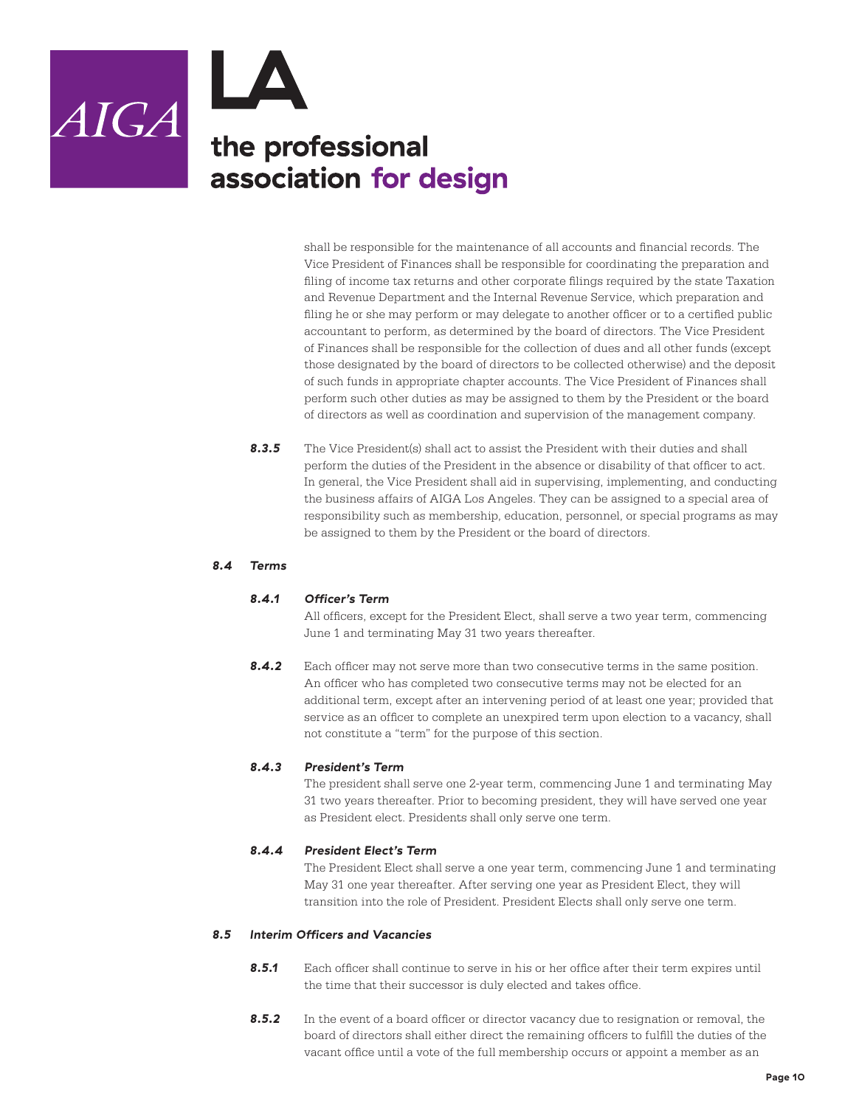

shall be responsible for the maintenance of all accounts and financial records. The Vice President of Finances shall be responsible for coordinating the preparation and filing of income tax returns and other corporate filings required by the state Taxation and Revenue Department and the Internal Revenue Service, which preparation and filing he or she may perform or may delegate to another officer or to a certified public accountant to perform, as determined by the board of directors. The Vice President of Finances shall be responsible for the collection of dues and all other funds (except those designated by the board of directors to be collected otherwise) and the deposit of such funds in appropriate chapter accounts. The Vice President of Finances shall perform such other duties as may be assigned to them by the President or the board of directors as well as coordination and supervision of the management company.

**8.3.5** The Vice President(s) shall act to assist the President with their duties and shall perform the duties of the President in the absence or disability of that officer to act. In general, the Vice President shall aid in supervising, implementing, and conducting the business affairs of AIGA Los Angeles. They can be assigned to a special area of responsibility such as membership, education, personnel, or special programs as may be assigned to them by the President or the board of directors.

#### *8.4 Terms*

#### *8.4.1 Officer's Term*

All officers, except for the President Elect, shall serve a two year term, commencing June 1 and terminating May 31 two years thereafter.

8.4.2 Each officer may not serve more than two consecutive terms in the same position. An officer who has completed two consecutive terms may not be elected for an additional term, except after an intervening period of at least one year; provided that service as an officer to complete an unexpired term upon election to a vacancy, shall not constitute a "term" for the purpose of this section.

#### *8.4.3 President's Term*

The president shall serve one 2-year term, commencing June 1 and terminating May 31 two years thereafter. Prior to becoming president, they will have served one year as President elect. Presidents shall only serve one term.

#### *8.4.4 President Elect's Term*

The President Elect shall serve a one year term, commencing June 1 and terminating May 31 one year thereafter. After serving one year as President Elect, they will transition into the role of President. President Elects shall only serve one term.

#### *8.5 Interim Officers and Vacancies*

- *8.5.1* Each officer shall continue to serve in his or her office after their term expires until the time that their successor is duly elected and takes office.
- **8.5.2** In the event of a board officer or director vacancy due to resignation or removal, the board of directors shall either direct the remaining officers to fulfill the duties of the vacant office until a vote of the full membership occurs or appoint a member as an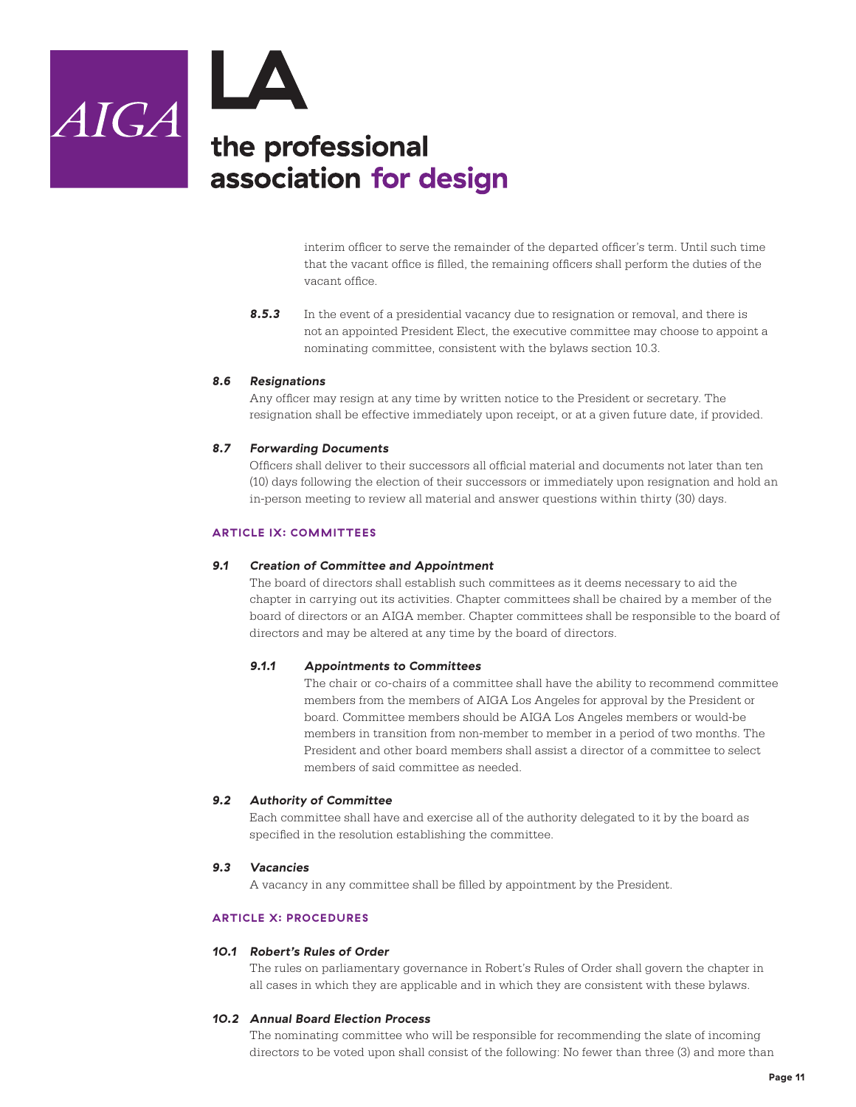

interim officer to serve the remainder of the departed officer's term. Until such time that the vacant office is filled, the remaining officers shall perform the duties of the vacant office.

**8.5.3** In the event of a presidential vacancy due to resignation or removal, and there is not an appointed President Elect, the executive committee may choose to appoint a nominating committee, consistent with the bylaws section 10.3.

#### *8.6 Resignations*

Any officer may resign at any time by written notice to the President or secretary. The resignation shall be effective immediately upon receipt, or at a given future date, if provided.

#### *8.7 Forwarding Documents*

Officers shall deliver to their successors all official material and documents not later than ten (10) days following the election of their successors or immediately upon resignation and hold an in-person meeting to review all material and answer questions within thirty (30) days.

#### **ARTICLE IX: COMMITTEES**

#### *9.1 Creation of Committee and Appointment*

The board of directors shall establish such committees as it deems necessary to aid the chapter in carrying out its activities. Chapter committees shall be chaired by a member of the board of directors or an AIGA member. Chapter committees shall be responsible to the board of directors and may be altered at any time by the board of directors.

#### *9.1.1 Appointments to Committees*

The chair or co-chairs of a committee shall have the ability to recommend committee members from the members of AIGA Los Angeles for approval by the President or board. Committee members should be AIGA Los Angeles members or would-be members in transition from non-member to member in a period of two months. The President and other board members shall assist a director of a committee to select members of said committee as needed.

#### *9.2 Authority of Committee*

Each committee shall have and exercise all of the authority delegated to it by the board as specified in the resolution establishing the committee.

#### *9.3 Vacancies*

A vacancy in any committee shall be filled by appointment by the President.

#### **ARTICLE X: PROCEDURES**

#### *10.1 Robert's Rules of Order*

The rules on parliamentary governance in Robert's Rules of Order shall govern the chapter in all cases in which they are applicable and in which they are consistent with these bylaws.

#### *10.2 Annual Board Election Process*

The nominating committee who will be responsible for recommending the slate of incoming directors to be voted upon shall consist of the following: No fewer than three (3) and more than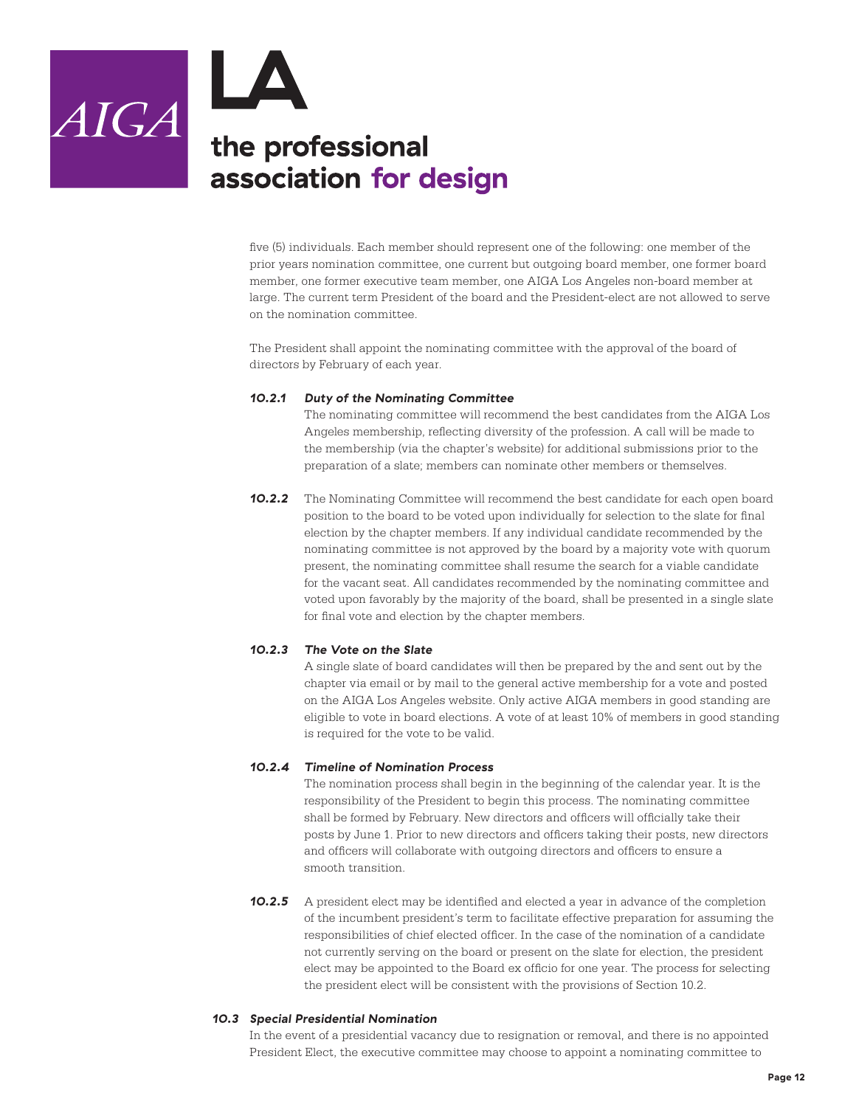

 $AIGA$  the professional association for design

> five (5) individuals. Each member should represent one of the following: one member of the prior years nomination committee, one current but outgoing board member, one former board member, one former executive team member, one AIGA Los Angeles non-board member at large. The current term President of the board and the President-elect are not allowed to serve on the nomination committee.

The President shall appoint the nominating committee with the approval of the board of directors by February of each year.

#### *10.2.1 Duty of the Nominating Committee*

The nominating committee will recommend the best candidates from the AIGA Los Angeles membership, reflecting diversity of the profession. A call will be made to the membership (via the chapter's website) for additional submissions prior to the preparation of a slate; members can nominate other members or themselves.

**10.2.2** The Nominating Committee will recommend the best candidate for each open board position to the board to be voted upon individually for selection to the slate for final election by the chapter members. If any individual candidate recommended by the nominating committee is not approved by the board by a majority vote with quorum present, the nominating committee shall resume the search for a viable candidate for the vacant seat. All candidates recommended by the nominating committee and voted upon favorably by the majority of the board, shall be presented in a single slate for final vote and election by the chapter members.

#### *10.2.3 The Vote on the Slate*

A single slate of board candidates will then be prepared by the and sent out by the chapter via email or by mail to the general active membership for a vote and posted on the AIGA Los Angeles website. Only active AIGA members in good standing are eligible to vote in board elections. A vote of at least 10% of members in good standing is required for the vote to be valid.

#### *10.2.4 Timeline of Nomination Process*

The nomination process shall begin in the beginning of the calendar year. It is the responsibility of the President to begin this process. The nominating committee shall be formed by February. New directors and officers will officially take their posts by June 1. Prior to new directors and officers taking their posts, new directors and officers will collaborate with outgoing directors and officers to ensure a smooth transition.

**10.2.5** A president elect may be identified and elected a year in advance of the completion of the incumbent president's term to facilitate effective preparation for assuming the responsibilities of chief elected officer. In the case of the nomination of a candidate not currently serving on the board or present on the slate for election, the president elect may be appointed to the Board ex officio for one year. The process for selecting the president elect will be consistent with the provisions of Section 10.2.

#### *10.3 Special Presidential Nomination*

In the event of a presidential vacancy due to resignation or removal, and there is no appointed President Elect, the executive committee may choose to appoint a nominating committee to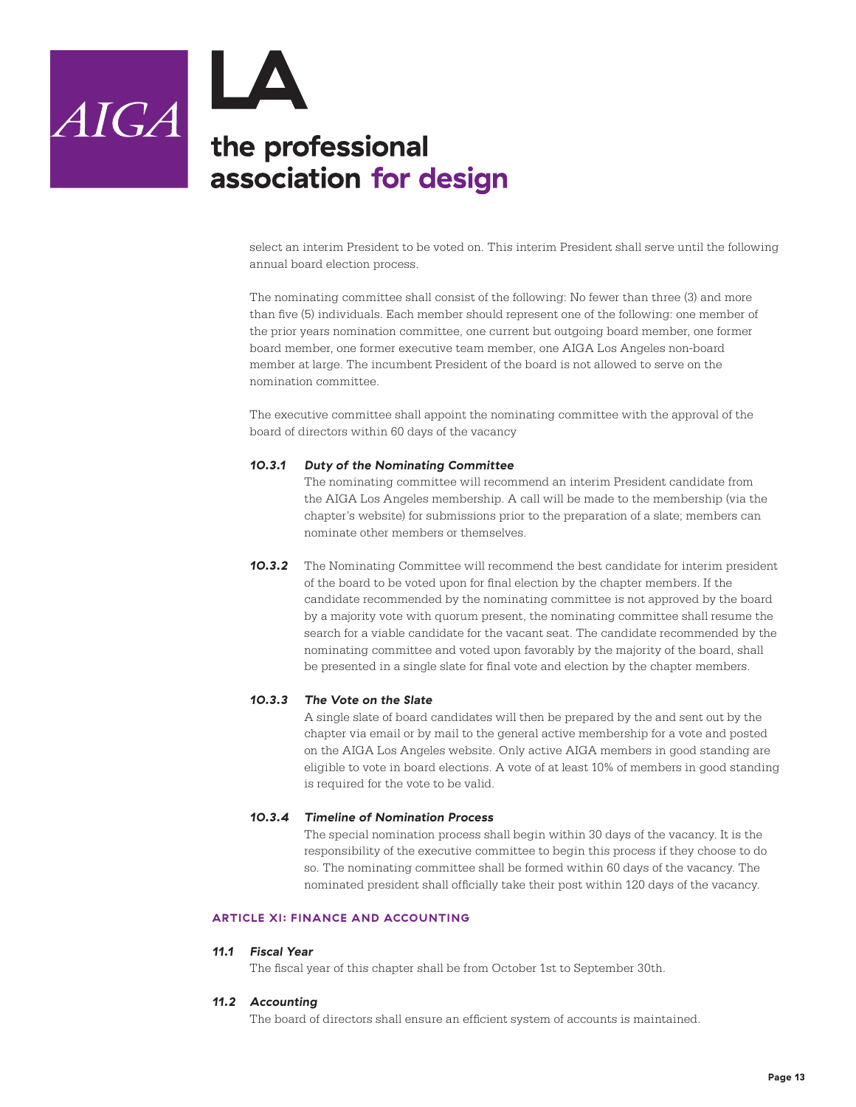

select an interim President to be voted on. This interim President shall serve until the following annual board election process.

The nominating committee shall consist of the following: No fewer than three (3) and more than five (5) individuals. Each member should represent one of the following: one member of the prior years nomination committee, one current but outgoing board member, one former board member, one former executive team member, one AIGA Los Angeles non-board member at large. The incumbent President of the board is not allowed to serve on the nomination committee.

The executive committee shall appoint the nominating committee with the approval of the board of directors within 60 days of the vacancy

#### *10.3.1 Duty of the Nominating Committee*

The nominating committee will recommend an interim President candidate from the AIGA Los Angeles membership. A call will be made to the membership (via the chapter's website) for submissions prior to the preparation of a slate; members can nominate other members or themselves.

**10.3.2** The Nominating Committee will recommend the best candidate for interim president of the board to be voted upon for final election by the chapter members. If the candidate recommended by the nominating committee is not approved by the board by a majority vote with quorum present, the nominating committee shall resume the search for a viable candidate for the vacant seat. The candidate recommended by the nominating committee and voted upon favorably by the majority of the board, shall be presented in a single slate for final vote and election by the chapter members.

#### *10.3.3 The Vote on the Slate*

A single slate of board candidates will then be prepared by the and sent out by the chapter via email or by mail to the general active membership for a vote and posted on the AIGA Los Angeles website. Only active AIGA members in good standing are eligible to vote in board elections. A vote of at least 10% of members in good standing is required for the vote to be valid.

#### *10.3.4 Timeline of Nomination Process*

The special nomination process shall begin within 30 days of the vacancy. It is the responsibility of the executive committee to begin this process if they choose to do so. The nominating committee shall be formed within 60 days of the vacancy. The nominated president shall officially take their post within 120 days of the vacancy.

#### **ARTICLE XI: FINANCE AND ACCOUNTING**

#### *11.1 Fiscal Year*

The fiscal year of this chapter shall be from October 1st to September 30th.

#### *11.2 Accounting*

The board of directors shall ensure an efficient system of accounts is maintained.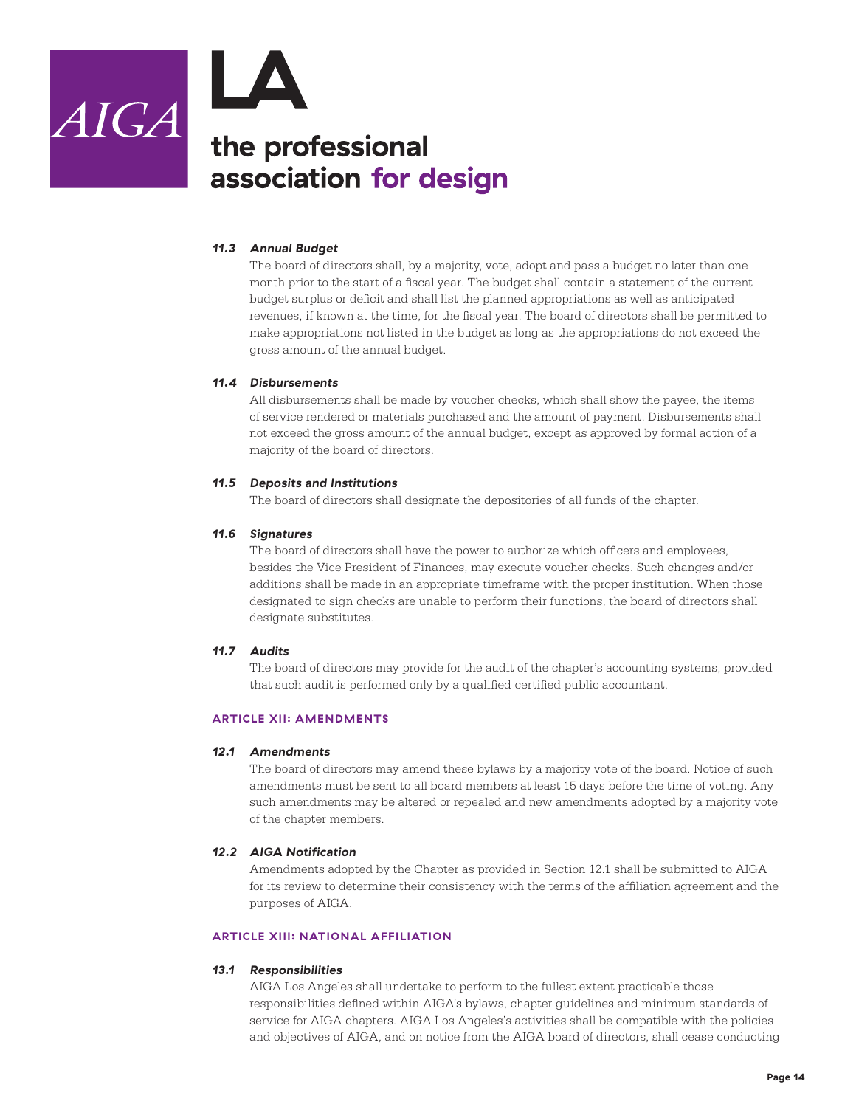

#### *11.3 Annual Budget*

The board of directors shall, by a majority, vote, adopt and pass a budget no later than one month prior to the start of a fiscal year. The budget shall contain a statement of the current budget surplus or deficit and shall list the planned appropriations as well as anticipated revenues, if known at the time, for the fiscal year. The board of directors shall be permitted to make appropriations not listed in the budget as long as the appropriations do not exceed the gross amount of the annual budget.

#### *11.4 Disbursements*

All disbursements shall be made by voucher checks, which shall show the payee, the items of service rendered or materials purchased and the amount of payment. Disbursements shall not exceed the gross amount of the annual budget, except as approved by formal action of a majority of the board of directors.

#### *11.5 Deposits and Institutions*

The board of directors shall designate the depositories of all funds of the chapter.

#### *11.6 Signatures*

The board of directors shall have the power to authorize which officers and employees, besides the Vice President of Finances, may execute voucher checks. Such changes and/or additions shall be made in an appropriate timeframe with the proper institution. When those designated to sign checks are unable to perform their functions, the board of directors shall designate substitutes.

#### *11.7 Audits*

The board of directors may provide for the audit of the chapter's accounting systems, provided that such audit is performed only by a qualified certified public accountant.

#### **ARTICLE XII: AMENDMENTS**

#### *12.1 Amendments*

The board of directors may amend these bylaws by a majority vote of the board. Notice of such amendments must be sent to all board members at least 15 days before the time of voting. Any such amendments may be altered or repealed and new amendments adopted by a majority vote of the chapter members.

#### *12.2 AIGA Notification*

Amendments adopted by the Chapter as provided in Section 12.1 shall be submitted to AIGA for its review to determine their consistency with the terms of the affiliation agreement and the purposes of AIGA.

#### **ARTICLE XIII: NATIONAL AFFILIATION**

#### *13.1 Responsibilities*

AIGA Los Angeles shall undertake to perform to the fullest extent practicable those responsibilities defined within AIGA's bylaws, chapter guidelines and minimum standards of service for AIGA chapters. AIGA Los Angeles's activities shall be compatible with the policies and objectives of AIGA, and on notice from the AIGA board of directors, shall cease conducting